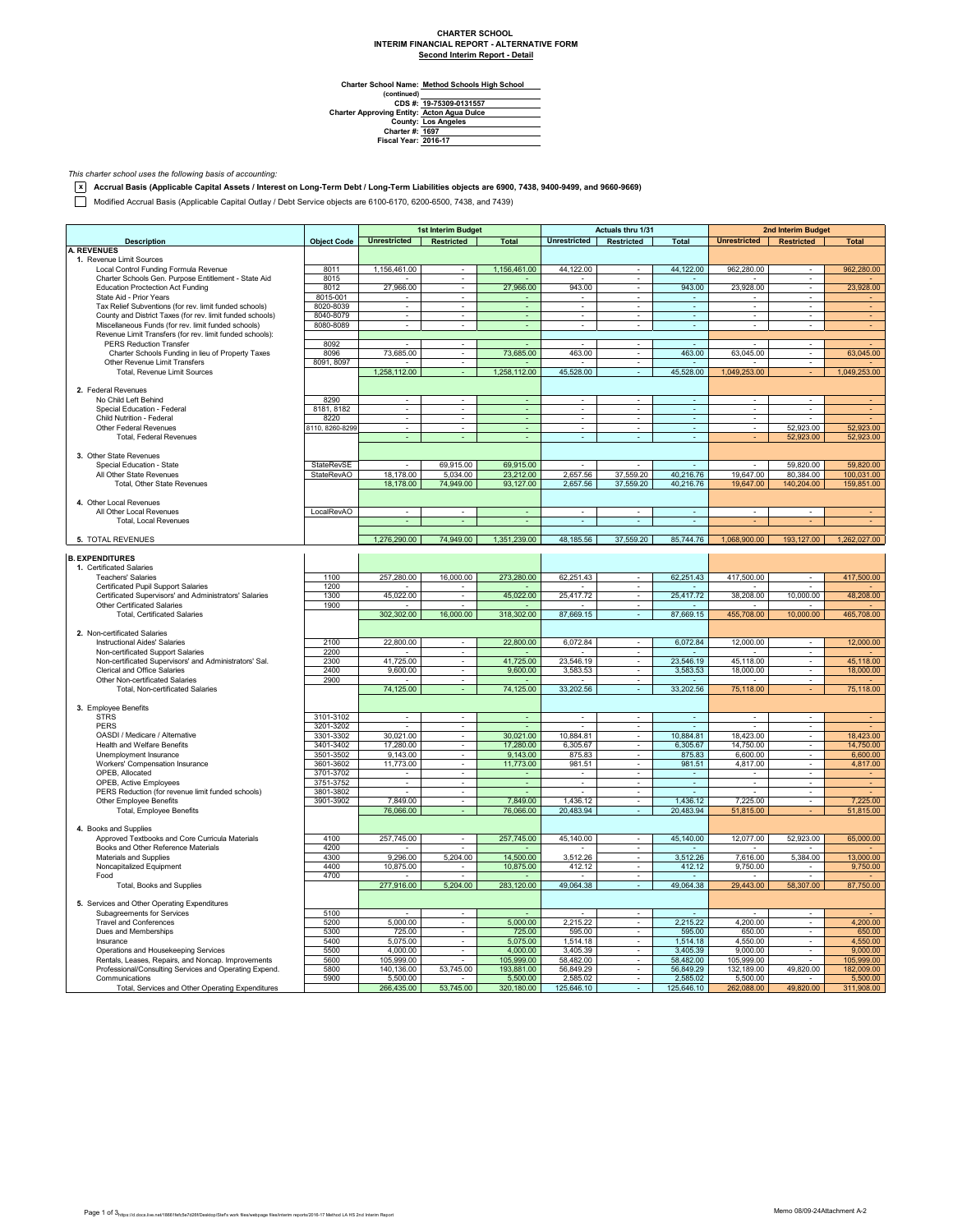## **CHARTER SCHOOL INTERIM FINANCIAL REPORT - ALTERNATIVE FORM Second Interim Report - Detail**

**Method Schools High School**

Charter School Name<br>
(continued)<br>
CDS #:<br>
Charter Approving Entity:<br>
County:<br>
Charter #:<br>
Fiscal Year: **19-75309-0131557 Acton Agua Dulce Los Angeles 1697 2016-17**

*This charter school uses the following basis of accounting:*

**x Accrual Basis (Applicable Capital Assets / Interest on Long-Term Debt / Long-Term Liabilities objects are 6900, 7438, 9400-9499, and 9660-9669)**

Modified Accrual Basis (Applicable Capital Outlay / Debt Service objects are 6100-6170, 6200-6500, 7438, and 7439)

|                                                           |                    |                          | 1st Interim Budget          |                          |                             | Actuals thru 1/31        |                             |                           | <b>2nd Interim Budget</b> |                |
|-----------------------------------------------------------|--------------------|--------------------------|-----------------------------|--------------------------|-----------------------------|--------------------------|-----------------------------|---------------------------|---------------------------|----------------|
| <b>Description</b>                                        | <b>Object Code</b> | Unrestricted Restricted  |                             | <b>Total</b>             | Unrestricted Restricted     |                          | <b>Total</b>                | Unrestricted   Restricted |                           | <b>Total</b>   |
| <b>A. REVENUES</b>                                        |                    |                          |                             |                          |                             |                          |                             |                           |                           |                |
| 1. Revenue Limit Sources                                  |                    |                          |                             |                          |                             |                          |                             |                           |                           |                |
| Local Control Funding Formula Revenue                     | 8011               | 1,156,461.00             |                             | 1,156,461.00             | 44,122.00                   |                          | 44,122.00                   | 962,280.00                |                           | 962,280.00     |
| Charter Schools Gen. Purpose Entitlement - State Aid      | 8015               |                          | $\blacksquare$              |                          |                             | $\overline{\phantom{a}}$ |                             |                           | $\sim$                    |                |
| <b>Education Proctection Act Funding</b>                  | 8012               | 27,966.00                | $\mathcal{L}_{\mathcal{A}}$ | 27,966.00                | 943.00                      | $\sim$                   | 943.00                      | 23.928.00                 | ×.                        | 23,928.00      |
| State Aid - Prior Years                                   | 8015-001           |                          |                             |                          |                             | $\overline{\phantom{a}}$ |                             |                           | $\blacksquare$            |                |
| Tax Relief Subventions (for rev. limit funded schools)    | 8020-8039          | $\overline{\phantom{a}}$ | $\overline{\phantom{a}}$    | $\blacksquare$           | $\overline{\phantom{a}}$    | $\overline{\phantom{a}}$ | $\omega$                    | $\overline{\phantom{a}}$  | $\overline{\phantom{a}}$  | $\blacksquare$ |
| County and District Taxes (for rev. limit funded schools) | 8040-8079          | $\overline{\phantom{a}}$ |                             | ÷                        | $\blacksquare$              | $\overline{\phantom{a}}$ | $\overline{\phantom{a}}$    | $\overline{\phantom{a}}$  | ÷                         |                |
| Miscellaneous Funds (for rev. limit funded schools)       | 8080-8089          | ÷                        |                             | ä,                       | $\mathcal{L}_{\mathcal{A}}$ |                          | $\omega$                    |                           |                           |                |
| Revenue Limit Transfers (for rev. limit funded schools):  |                    |                          |                             |                          |                             |                          |                             |                           |                           |                |
| <b>PERS Reduction Transfer</b>                            | 8092               | ÷.                       | $\omega$                    |                          | $\mathbf{r}$                | $\omega$                 |                             |                           | $\sim$                    |                |
| Charter Schools Funding in lieu of Property Taxes         | 8096               | 73,685.00                | $\blacksquare$              | 73,685.00                | 463.00                      | $\sim$                   | 463.00                      | 63,045.00                 | $\overline{\phantom{a}}$  | 63,045.00      |
| Other Revenue Limit Transfers                             | 8091, 8097         |                          | $\sim$                      |                          | $\overline{\phantom{a}}$    | $\sim$                   | $\sim$                      |                           | $\sim$                    |                |
| Total, Revenue Limit Sources                              |                    | 1,258,112.00             |                             | 1,258,112.00             | 45,528.00                   | $\sim$                   | 45,528.00                   | 1,049,253.00              |                           | 1,049,253.00   |
|                                                           |                    |                          |                             |                          |                             |                          |                             |                           |                           |                |
| 2. Federal Revenues                                       |                    |                          |                             |                          |                             |                          |                             |                           |                           |                |
| No Child Left Behind                                      | 8290               | ÷.                       |                             |                          | ÷.                          |                          | ÷.                          |                           |                           |                |
| Special Education - Federal                               | 8181, 8182         | $\overline{\phantom{a}}$ | $\overline{\phantom{a}}$    | $\sim$                   | $\overline{\phantom{a}}$    | $\overline{\phantom{a}}$ | $\overline{\phantom{a}}$    | $\overline{\phantom{a}}$  | $\overline{\phantom{a}}$  |                |
| Child Nutrition - Federal                                 | 8220               | $\overline{\phantom{a}}$ | $\sim$                      |                          | $\overline{\phantom{a}}$    | $\overline{\phantom{a}}$ | $\overline{\phantom{a}}$    | $\sim$                    |                           |                |
| Other Federal Revenues                                    | 8110, 8260-8299    |                          |                             |                          |                             |                          | $\mathcal{L}_{\mathcal{A}}$ |                           | 52,923.00                 | 52,923.00      |
| Total, Federal Revenues                                   |                    |                          |                             | ä,                       | ÷.                          | ÷                        | ×.                          |                           | 52,923.00                 | 52,923.00      |
|                                                           |                    |                          |                             |                          |                             |                          |                             |                           |                           |                |
| 3. Other State Revenues                                   |                    |                          |                             |                          |                             |                          |                             |                           |                           |                |
| Special Education - State                                 | StateRevSE         | $\sim$                   | 69,915.00                   | 69,915.00                | $\sim$                      | $\sim$                   | $\sim$                      |                           | 59,820.00                 | 59,820.00      |
| All Other State Revenues                                  | StateRevAO         | 18,178.00                | 5,034.00                    | 23,212.00                | 2,657.56                    | 37,559.20                | 40,216.76                   | 19,647.00                 | 80,384.00                 | 100,031.00     |
| Total, Other State Revenues                               |                    | 18,178.00                | 74,949.00                   | 93,127.00                | 2,657.56                    | 37,559.20                | 40,216.76                   | 19,647.00                 | 140,204.00                | 159,851.00     |
|                                                           |                    |                          |                             |                          |                             |                          |                             |                           |                           |                |
| 4. Other Local Revenues                                   |                    |                          |                             |                          |                             |                          |                             |                           |                           |                |
| All Other Local Revenues                                  | LocalRevAO         | $\overline{\phantom{a}}$ |                             |                          | $\overline{\phantom{a}}$    | $\overline{\phantom{a}}$ |                             |                           |                           |                |
| <b>Total, Local Revenues</b>                              |                    |                          |                             |                          |                             |                          |                             |                           |                           |                |
|                                                           |                    |                          |                             |                          |                             |                          |                             |                           |                           |                |
| 5. TOTAL REVENUES                                         |                    | 1,276,290.00             | 74,949.00                   | 1,351,239.00             | 48,185.56                   | 37,559.20                | 85,744.76                   | 1.068.900.00              | 193.127.00                | 1.262.027.00   |
|                                                           |                    |                          |                             |                          |                             |                          |                             |                           |                           |                |
| <b>B. EXPENDITURES</b>                                    |                    |                          |                             |                          |                             |                          |                             |                           |                           |                |
| 1. Certificated Salaries                                  |                    |                          |                             |                          |                             |                          |                             |                           |                           |                |
| <b>Teachers' Salaries</b>                                 | 1100               | 257,280.00               | 16,000.00                   | 273,280.00               | 62,251.43                   |                          | 62,251.43                   | 417,500.00                | ÷                         | 417,500.00     |
| Certificated Pupil Support Salaries                       | 1200               |                          |                             |                          |                             | $\overline{\phantom{a}}$ |                             |                           |                           |                |
| Certificated Supervisors' and Administrators' Salaries    | 1300               | 45,022.00                | $\sim$                      | 45,022.00                | 25,417.72                   | $\sim$                   | 25,417.72                   | 38,208.00                 | 10,000.00                 | 48,208.00      |
| Other Certificated Salaries                               | 1900               |                          |                             |                          |                             | $\overline{\phantom{a}}$ |                             |                           |                           |                |
| <b>Total, Certificated Salaries</b>                       |                    | 302,302.00               | 16,000.00                   | 318,302.00               | 87,669.15                   | $\overline{\phantom{a}}$ | 87,669.15                   | 455,708.00                | 10,000.00                 | 465,708.00     |
|                                                           |                    |                          |                             |                          |                             |                          |                             |                           |                           |                |
| 2. Non-certificated Salaries                              |                    |                          |                             |                          |                             |                          |                             |                           |                           |                |
| Instructional Aides' Salaries                             | 2100               | 22,800.00                | $\sim$                      | 22,800.00                | 6,072.84                    | $\sim$                   | 6,072.84                    | 12,000.00                 | $\sim$                    | 12,000.00      |
| Non-certificated Support Salaries                         | 2200               |                          | ÷.                          |                          |                             | $\overline{\phantom{a}}$ |                             |                           | $\blacksquare$            |                |
| Non-certificated Supervisors' and Administrators' Sal.    | 2300               | 41,725.00                | $\sim$                      | 41,725.00                | 23,546.19                   | $\sim$                   | 23,546.19                   | 45,118.00                 | $\overline{\phantom{a}}$  | 45,118.00      |
| Clerical and Office Salaries                              | 2400               | 9,600.00                 | $\overline{\phantom{a}}$    | 9,600.00                 | 3,583.53                    | $\overline{\phantom{a}}$ | 3,583.53                    | 18,000.00                 | $\overline{\phantom{a}}$  | 18,000.00      |
| Other Non-certificated Salaries                           | 2900               |                          |                             |                          |                             |                          |                             |                           |                           |                |
| Total, Non-certificated Salaries                          |                    | 74,125.00                |                             | 74,125.00                | 33,202.56                   | ÷.                       | 33,202.56                   | 75,118.00                 |                           | 75,118.00      |
|                                                           |                    |                          |                             |                          |                             |                          |                             |                           |                           |                |
| 3. Employee Benefits                                      |                    |                          |                             |                          |                             |                          |                             |                           |                           |                |
| <b>STRS</b>                                               | 3101-3102          | $\overline{\phantom{a}}$ | $\overline{\phantom{a}}$    | $\overline{\phantom{a}}$ | $\overline{\phantom{a}}$    | $\overline{\phantom{a}}$ | $\overline{\phantom{a}}$    | $\overline{\phantom{a}}$  | $\overline{\phantom{a}}$  |                |
| PERS                                                      | 3201-3202          |                          | $\overline{\phantom{a}}$    |                          |                             | ٠                        |                             |                           | $\overline{\phantom{a}}$  |                |
| OASDI / Medicare / Alternative                            | 3301-3302          | 30,021.00                |                             | 30,021.00                | 10,884.81                   |                          | 10,884.81                   | 18,423.00                 | ä,                        | 18,423.00      |
| <b>Health and Welfare Benefits</b>                        | 3401-3402          | 17,280.00                | $\sim$                      | 17,280.00                | 6,305.67                    | $\sim$                   | 6,305.67                    | 14,750.00                 | ÷.                        | 14,750.00      |
| Unemployment Insurance                                    | 3501-3502          | 9,143.00                 | $\mathbf{r}$                | 9,143.00                 | 875.83                      | $\mathbf{r}$             | 875.83                      | 6,600.00                  | $\overline{\phantom{a}}$  | 6,600.00       |
| Workers' Compensation Insurance                           | 3601-3602          | 11,773.00                | $\blacksquare$              | 11,773.00                | 981.51                      | $\sim$                   | 981.51                      | 4,817.00                  | $\overline{\phantom{a}}$  | 4,817.00       |
| OPEB, Allocated                                           | 3701-3702          | $\sim$                   | $\sim$                      | ÷                        | $\sim$                      | $\sim$                   | $\sim$                      | $\sim$                    | $\sim$                    |                |
| OPEB, Active Employees                                    | 3751-3752          |                          |                             |                          | $\blacksquare$              |                          |                             |                           |                           |                |
| PERS Reduction (for revenue limit funded schools)         | 3801-3802          |                          | $\overline{\phantom{a}}$    |                          | $\mathcal{L}_{\mathcal{A}}$ | $\blacksquare$           |                             |                           | ×                         |                |
| Other Employee Benefits                                   | 3901-3902          | 7,849.00                 | τ                           | 7,849.00                 | 1,436.12                    | ÷                        | 1,436.12                    | 7,225.00                  | τ                         | 7,225.00       |
| Total, Employee Benefits                                  |                    | 76,066.00                | ÷                           | 76,066.00                | 20,483.94                   | $\sim$                   | 20,483.94                   | 51,815.00                 |                           | 51,815.00      |
|                                                           |                    |                          |                             |                          |                             |                          |                             |                           |                           |                |
| 4. Books and Supplies                                     |                    |                          |                             |                          |                             |                          |                             |                           |                           |                |
| Approved Textbooks and Core Curricula Materials           | 4100               | 257,745.00               | $\overline{\phantom{a}}$    | 257,745.00               | 45,140.00                   | $\sim$                   | 45,140.00                   | 12,077.00                 | 52,923.00                 | 65,000.00      |
| Books and Other Reference Materials                       | 4200               |                          |                             |                          |                             |                          |                             |                           |                           |                |
| Materials and Supplies                                    | 4300               | 9,296.00                 | 5,204.00                    | 14,500.00                | 3,512.26                    | $\sim$                   | 3,512.26                    | 7,616.00                  | 5,384.00                  | 13,000.00      |
| Noncapitalized Equipment                                  | 4400               | 10,875.00                | $\overline{\phantom{a}}$    | 10,875.00                | 412.12                      | $\sim$                   | 412.12                      | 9,750.00                  | $\overline{\phantom{a}}$  | 9,750.00       |
| Food                                                      | 4700               |                          | $\sim$                      |                          |                             | $\sim$                   |                             |                           |                           |                |
| Total, Books and Supplies                                 |                    | 277,916.00               | 5,204.00                    | 283,120.00               | 49,064.38                   |                          | 49,064.38                   | 29,443.00                 | 58,307.00                 | 87,750.00      |
|                                                           |                    |                          |                             |                          |                             |                          |                             |                           |                           |                |
| 5. Services and Other Operating Expenditures              |                    |                          |                             |                          |                             |                          |                             |                           |                           |                |
| Subagreements for Services                                | 5100               |                          | $\mathcal{L}_{\mathcal{A}}$ |                          |                             | $\sim$                   |                             |                           | $\overline{\phantom{a}}$  |                |
| <b>Travel and Conferences</b>                             | 5200               | 5,000.00                 | ٠                           | 5,000.00                 | 2,215.22                    | ٠                        | 2,215.22                    | 4,200.00                  | $\overline{\phantom{a}}$  | 4,200.00       |
| Dues and Memberships                                      | 5300               | 725.00                   |                             | 725.00                   | 595.00                      |                          | 595.00                      | 650.00                    | $\overline{\phantom{a}}$  | 650.00         |
| Insurance                                                 | 5400               | 5,075.00                 |                             | 5,075.00                 | 1,514.18                    | $\overline{\phantom{a}}$ | 1,514.18                    | 4,550.00                  | ×                         | 4,550.00       |
| Operations and Housekeeping Services                      | 5500               | 4.000.00                 | $\sim$                      | 4.000.00                 | 3,405.39                    | $\sim$                   | 3.405.39                    | 9,000,00                  | ×.                        | 9,000.00       |
| Rentals, Leases, Repairs, and Noncap. Improvements        | 5600               | 105,999.00               |                             | 105,999.00               | 58,482.00                   | $\blacksquare$           | 58,482.00                   | 105,999.00                |                           | 105,999.00     |
| Professional/Consulting Services and Operating Expend.    | 5800               | 140,136.00               | 53,745.00                   | 193,881.00               | 56,849.29                   | $\overline{\phantom{a}}$ | 56,849.29                   | 132,189.00                | 49,820.00                 | 182,009.00     |
| Communications                                            | 5900               | 5,500.00                 |                             | 5,500.00                 | 2,585.02                    | ٠                        | 2,585.02                    | 5,500.00                  |                           | 5,500.00       |
| Total, Services and Other Operating Expenditures          |                    | 266,435.00               | 53,745.00                   | 320,180.00               | 125,646.10                  |                          | 125,646.10                  | 262,088.00                | 49,820.00                 | 311,908.00     |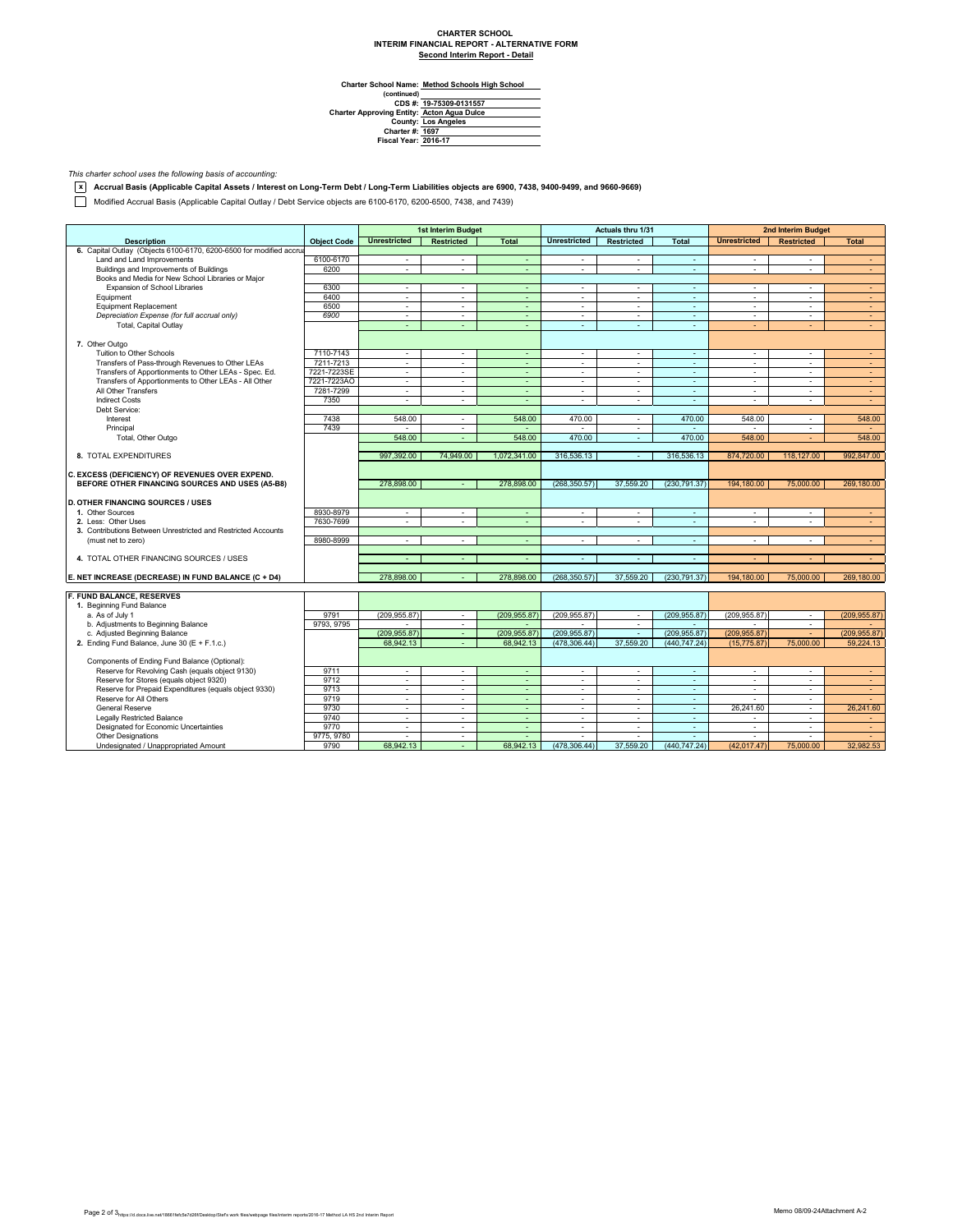## **CHARTER SCHOOL INTERIM FINANCIAL REPORT - ALTERNATIVE FORM Second Interim Report - Detail**

**Method Schools High School**

Charter School Name<br>
(continued)<br>
CDS #:<br>
Charter Approving Entity:<br>
County:<br>
Charter #:<br>
Fiscal Year: **19-75309-0131557 Acton Agua Dulce Los Angeles 1697 2016-17**

*This charter school uses the following basis of accounting:*

**x Accrual Basis (Applicable Capital Assets / Interest on Long-Term Debt / Long-Term Liabilities objects are 6900, 7438, 9400-9499, and 9660-9669)**

Modified Accrual Basis (Applicable Capital Outlay / Debt Service objects are 6100-6170, 6200-6500, 7438, and 7439)

|                                                                     |                    |                             | 1st Interim Budget       |                |                          | Actuals thru 1/31        |                          |                          | 2nd Interim Budget    |               |
|---------------------------------------------------------------------|--------------------|-----------------------------|--------------------------|----------------|--------------------------|--------------------------|--------------------------|--------------------------|-----------------------|---------------|
| <b>Description</b>                                                  | <b>Object Code</b> | <b>Unrestricted</b>         | <b>Restricted</b>        | <b>Total</b>   | <b>Unrestricted</b>      | <b>Restricted</b>        | <b>Total</b>             | <b>Unrestricted</b>      | <b>Restricted</b>     | <b>Total</b>  |
| 6. Capital Outlay (Objects 6100-6170, 6200-6500 for modified accrua |                    |                             |                          |                |                          |                          |                          |                          |                       |               |
| Land and Land Improvements                                          | 6100-6170          | ٠                           | $\sim$                   | $\omega$       | ٠                        | $\sim$                   | $\sim$                   | $\overline{\phantom{a}}$ | $\sim$                | $\sim$        |
| Buildings and Improvements of Buildings                             | 6200               | $\sim$                      | $\sim$                   | $\sim$         | $\sim$                   | $\sim$                   | $\sim$                   | $\sim$                   | $\sim$                | $\sim$        |
| Books and Media for New School Libraries or Major                   |                    |                             |                          |                |                          |                          |                          |                          |                       |               |
| Expansion of School Libraries                                       | 6300               | ×.                          | $\sim$                   | $\omega$       | $\sim$                   | $\sim$                   | $\sim$                   | $\sim$                   | ÷                     | $\sim$        |
| Equipment                                                           | 6400               | ÷.                          | $\sim$                   | $\blacksquare$ | $\sim$                   | $\sim$                   | $\sim$                   | $\sim$                   | $\tilde{\phantom{a}}$ | $\sim$        |
| <b>Equipment Replacement</b>                                        | 6500               | $\mathcal{L}_{\mathcal{A}}$ | $\sim$                   | $\sim$         | $\sim$                   | $\sim$                   | $\sim$                   | $\sim$                   | ٠                     | $\sim$        |
| Depreciation Expense (for full accrual only)                        | 6900               | ÷                           | ÷.                       | ä,             | ÷.                       | $\sim$                   | $\sim$                   | $\sim$                   | ÷                     | ÷.            |
| Total, Capital Outlay                                               |                    | $\sim$                      | $\sim$                   | $\sim$         | ÷                        | $\sim$                   | $\sim$                   | $\sim$                   | ÷                     | $\sim$        |
|                                                                     |                    |                             |                          |                |                          |                          |                          |                          |                       |               |
| 7. Other Outgo                                                      |                    |                             |                          |                |                          |                          |                          |                          |                       |               |
| Tuition to Other Schools                                            | 7110-7143          | ÷.                          | $\sim$                   | $\sim$         | ÷.                       | $\sim$                   | $\sim$                   | $\overline{a}$           | ÷                     | $\sim$        |
| Transfers of Pass-through Revenues to Other LEAs                    | 7211-7213          | $\mathcal{L}_{\mathcal{A}}$ | $\sim$                   | $\omega$       | $\mathbb{Z}^+$           | $\sim$                   | $\sim$                   | $\overline{\phantom{a}}$ | $\sim$                | $\sim$        |
| Transfers of Apportionments to Other LEAs - Spec. Ed.               | 7221-7223SE        | $\sim$                      | $\overline{\phantom{a}}$ | ÷              | $\overline{\phantom{a}}$ | $\sim$                   | $\overline{\phantom{a}}$ | $\sim$                   | ٠                     | $\sim$        |
| Transfers of Apportionments to Other LEAs - All Other               | 7221-7223AO        | ×.                          | $\sim$                   | $\sim$         | $\sim$                   | $\sim$                   | $\sim$                   | $\sim$                   | $\sim$                | $\sim$        |
| All Other Transfers                                                 | 7281-7299          | $\sim$                      | $\sim$                   | $\sim$         | $\overline{\phantom{a}}$ | $\sim$                   | $\sim$                   | $\overline{\phantom{a}}$ | ٠                     | $\sim$        |
| <b>Indirect Costs</b>                                               | 7350               | $\sim$                      | $\sim$                   | $\overline{a}$ | $\mathbf{r}$             | $\sim$                   | ÷.                       | $\mathbf{r}$             | ٠                     | ÷             |
| Debt Service:                                                       |                    |                             |                          |                |                          |                          |                          |                          |                       |               |
| Interest                                                            | 7438               | 548.00                      | $\sim$                   | 548.00         | 470.00                   | $\sim$                   | 470.00                   | 548.00                   | $\sim$                | 548.00        |
| Principal                                                           | 7439               |                             | $\sim$                   |                |                          | $\sim$                   |                          |                          | ÷.                    |               |
| Total, Other Outgo                                                  |                    | 548.00                      | $\sim$                   | 548.00         | 470.00                   | $\sim$                   | 470.00                   | 548.00                   | ÷                     | 548.00        |
|                                                                     |                    |                             |                          |                |                          |                          |                          |                          |                       |               |
| 8. TOTAL EXPENDITURES                                               |                    | 997.392.00                  | 74.949.00                | 1.072.341.00   | 316,536.13               | $\sim$                   | 316,536.13               | 874,720.00               | 118,127,00            | 992.847.00    |
|                                                                     |                    |                             |                          |                |                          |                          |                          |                          |                       |               |
| C. EXCESS (DEFICIENCY) OF REVENUES OVER EXPEND.                     |                    |                             |                          |                |                          |                          |                          |                          |                       |               |
| BEFORE OTHER FINANCING SOURCES AND USES (A5-B8)                     |                    | 278,898,00                  |                          | 278.898.00     | (268.350.57)             | 37,559.20                | (230.791.37)             | 194,180.00               | 75,000.00             | 269,180.00    |
|                                                                     |                    |                             |                          |                |                          |                          |                          |                          |                       |               |
| <b>D. OTHER FINANCING SOURCES / USES</b>                            |                    |                             |                          |                |                          |                          |                          |                          |                       |               |
| 1. Other Sources                                                    | 8930-8979          | $\sim$                      | ٠                        | $\blacksquare$ | $\blacksquare$           | $\sim$                   | $\omega$                 | $\Delta$                 | ٠                     | $\sim$        |
| 2. Less: Other Uses                                                 | 7630-7699          | $\sim$                      | $\sim$                   | $\sim$         | $\blacksquare$           | $\overline{\phantom{a}}$ | $\sim$                   | $\sim$                   | ٠                     | $\sim$        |
| 3. Contributions Between Unrestricted and Restricted Accounts       |                    |                             |                          |                |                          |                          |                          |                          |                       |               |
| (must net to zero)                                                  | 8980-8999          | $\sim$                      | $\sim$                   | ÷              | $\sim$                   | $\sim$                   | $\omega$                 | $\mathbf{r}$             | ٠                     | $\sim$        |
|                                                                     |                    |                             |                          |                |                          |                          |                          |                          |                       |               |
| 4. TOTAL OTHER FINANCING SOURCES / USES                             |                    | $\overline{\phantom{a}}$    | $\sim$                   | ٠              | $\mathbf{r}$             | $\sim$                   | $\sim$                   |                          |                       | $\sim$        |
|                                                                     |                    |                             |                          |                |                          |                          |                          |                          |                       |               |
| E. NET INCREASE (DECREASE) IN FUND BALANCE (C + D4)                 |                    | 278,898.00                  |                          | 278.898.00     | (268.350.57)             | 37,559.20                | (230.791.37)             | 194.180.00               | 75,000.00             | 269.180.00    |
|                                                                     |                    |                             |                          |                |                          |                          |                          |                          |                       |               |
| F. FUND BALANCE, RESERVES                                           |                    |                             |                          |                |                          |                          |                          |                          |                       |               |
| 1. Beginning Fund Balance                                           |                    |                             |                          |                |                          |                          |                          |                          |                       |               |
| a. As of July 1                                                     | 9791               | (209.955.87)                | $\sim$                   | (209, 955.87)  | (209, 955.87)            | $\sim$                   | (209, 955.87)            | (209.955.87)             | $\sim$                | (209, 955.87) |
| b. Adjustments to Beginning Balance                                 | 9793, 9795         |                             | ÷.                       |                |                          | ÷.                       |                          |                          | ٠                     |               |
| c. Adjusted Beginning Balance                                       |                    | (209, 955.87)               | $\sim$                   | (209, 955.87)  | (209, 955.87)            | ÷.                       | (209, 955.87)            | (209, 955.87)            | $\sim$                | (209.955.87)  |
| 2. Ending Fund Balance, June 30 (E + F.1.c.)                        |                    | 68.942.13                   | $\sim$                   | 68.942.13      | (478.306.44)             | 37,559.20                | (440.747.24)             | (15.775.87)              | 75,000.00             | 59.224.13     |
|                                                                     |                    |                             |                          |                |                          |                          |                          |                          |                       |               |
| Components of Ending Fund Balance (Optional):                       |                    |                             |                          |                |                          |                          |                          |                          |                       |               |
| Reserve for Revolving Cash (equals object 9130)                     | 9711               | $\sim$                      | $\sim$                   | ÷              | $\sim$                   | $\sim$                   | $\sim$                   | $\sim$                   | $\mathbf{r}$          | $\sim$        |
| Reserve for Stores (equals object 9320)                             | 9712               | ×.                          | ÷.                       | ÷.             | ä,                       | ÷.                       | $\sim$                   | $\sim$                   | ٠                     | ÷.            |
| Reserve for Prepaid Expenditures (equals object 9330)               | 9713               | $\sim$                      | $\sim$                   | $\sim$         | $\sim$                   | $\sim$                   | $\sim$                   | $\sim$                   | $\mathbf{r}$          | $\sim$        |
| Reserve for All Others                                              | 9719               | $\mathcal{L}_{\mathcal{A}}$ | $\sim$                   | $\sim$         | $\sim$                   | $\sim$                   | $\sim$                   | $\Delta$                 | $\mathbf{r}$          | $\sim$        |
| <b>General Reserve</b>                                              | 9730               | ×.                          | $\sim$                   | ÷.             | ä,                       | $\sim$                   | $\sim$                   | 26,241.60                | ٠                     | 26,241.60     |
| <b>Legally Restricted Balance</b>                                   | 9740               | ×.                          | $\sim$                   | $\sim$         | $\sim$                   | $\sim$                   | $\sim$                   | $\sim$                   | $\mathbf{r}$          | $\sim$        |
| Designated for Economic Uncertainties                               | 9770               | ٠                           | $\sim$                   | $\sim$         | $\sim$                   | $\sim$                   | $\sim$                   | $\sim$                   | $\mathbf{r}$          | $\sim$        |
| <b>Other Designations</b>                                           | 9775, 9780         | ÷.                          | $\sim$                   | ÷              | ÷                        |                          | ÷.                       |                          |                       |               |
| Undesignated / Unappropriated Amount                                | 9790               | 68.942.13                   | $\sim$                   | 68.942.13      | (478, 306.44)            | 37.559.20                | (440, 747.24)            | (42.017.47)              | 75,000.00             | 32,982.53     |